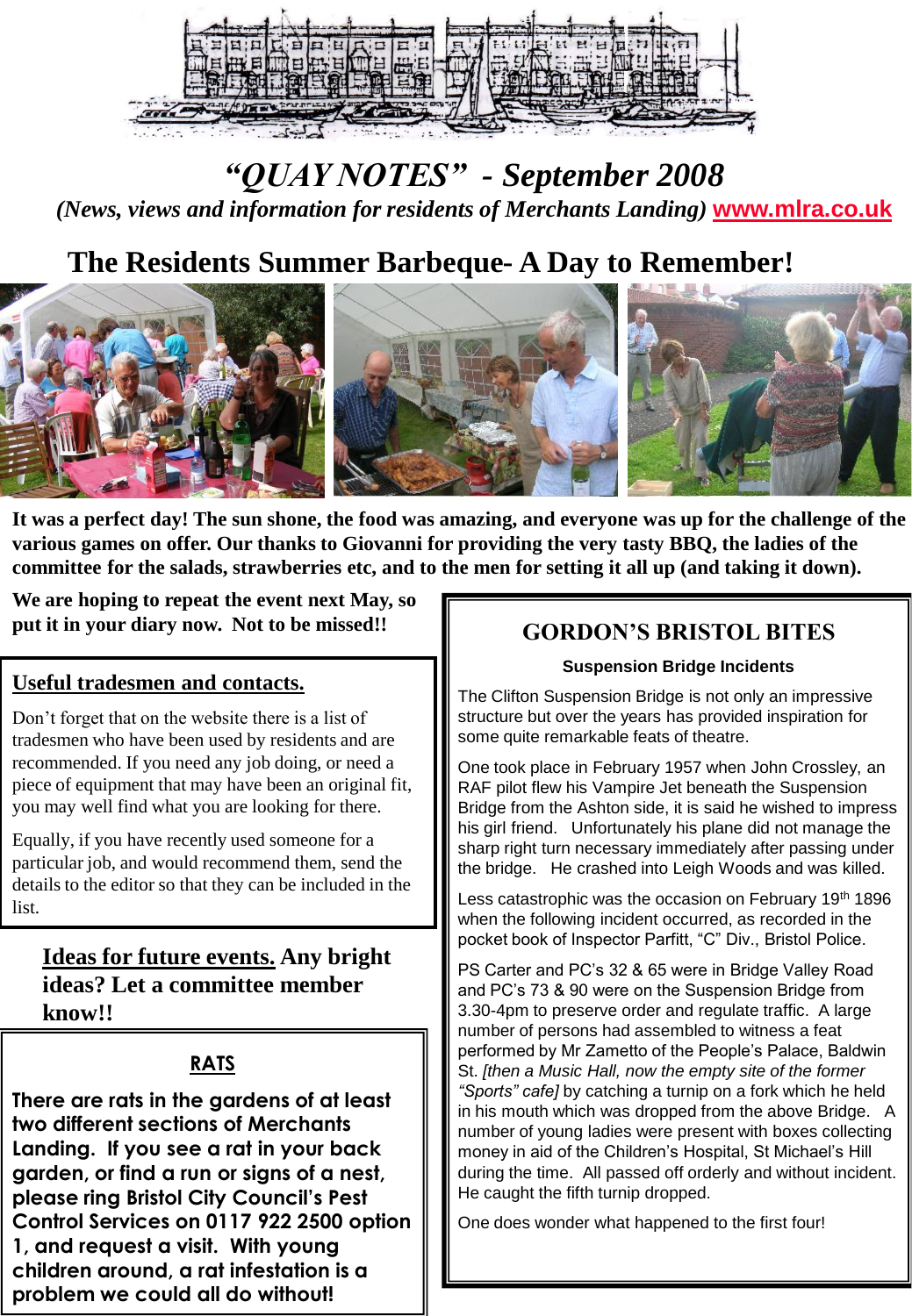

# *"QUAY NOTES" - September 2008 (News, views and information for residents of Merchants Landing)* **[www.mlra.co.uk](http://www.mlra.co.uk/)**

# **The Residents Summer Barbeque- A Day to Remember!**



**It was a perfect day! The sun shone, the food was amazing, and everyone was up for the challenge of the various games on offer. Our thanks to Giovanni for providing the very tasty BBQ, the ladies of the committee for the salads, strawberries etc, and to the men for setting it all up (and taking it down).**

**We are hoping to repeat the event next May, so put it in your diary now. Not to be missed!!**

#### **Useful tradesmen and contacts.**

Don't forget that on the website there is a list of tradesmen who have been used by residents and are recommended. If you need any job doing, or need a piece of equipment that may have been an original fit, you may well find what you are looking for there.

Equally, if you have recently used someone for a particular job, and would recommend them, send the details to the editor so that they can be included in the list.

### **Ideas for future events. Any bright ideas? Let a committee member know!!**

### **RATS**

**There are rats in the gardens of at least two different sections of Merchants Landing. If you see a rat in your back garden, or find a run or signs of a nest, please ring Bristol City Council's Pest Control Services on 0117 922 2500 option 1, and request a visit. With young children around, a rat infestation is a problem we could all do without!**

## **GORDON'S BRISTOL BITES**

#### **Suspension Bridge Incidents**

The Clifton Suspension Bridge is not only an impressive structure but over the years has provided inspiration for some quite remarkable feats of theatre.

One took place in February 1957 when John Crossley, an RAF pilot flew his Vampire Jet beneath the Suspension Bridge from the Ashton side, it is said he wished to impress his girl friend. Unfortunately his plane did not manage the sharp right turn necessary immediately after passing under the bridge. He crashed into Leigh Woods and was killed.

Less catastrophic was the occasion on February 19<sup>th</sup> 1896 when the following incident occurred, as recorded in the pocket book of Inspector Parfitt, "C" Div., Bristol Police.

PS Carter and PC's 32 & 65 were in Bridge Valley Road and PC's 73 & 90 were on the Suspension Bridge from 3.30-4pm to preserve order and regulate traffic. A large number of persons had assembled to witness a feat performed by Mr Zametto of the People's Palace, Baldwin St. *[then a Music Hall, now the empty site of the former "Sports" cafe]* by catching a turnip on a fork which he held in his mouth which was dropped from the above Bridge. A number of young ladies were present with boxes collecting money in aid of the Children's Hospital, St Michael's Hill during the time. All passed off orderly and without incident. He caught the fifth turnip dropped.

One does wonder what happened to the first four!